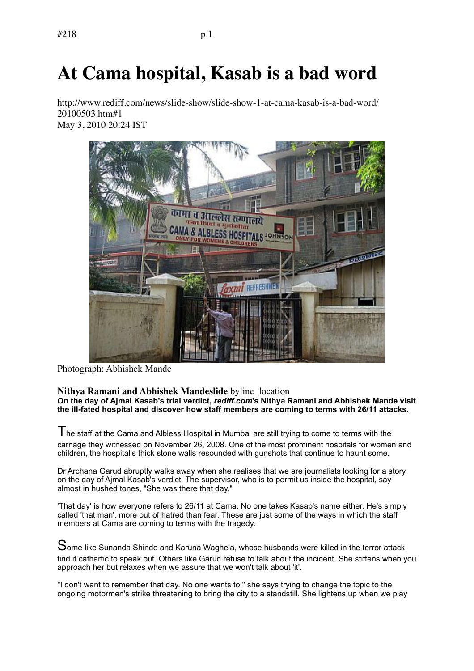## **At Cama hospital, Kasab is a bad word**

http://www.rediff.com/news/slide-show/slide-show-1-at-cama-kasab-is-a-bad-word/ 20100503.htm#1 May 3, 2010 20:24 IST



Photograph: Abhishek Mande

## **Nithya Ramani and Abhishek Mandeslide** byline\_location **On the day of Ajmal Kasab's trial verdict,** *rediff.com***'s Nithya Ramani and Abhishek Mande visit the ill-fated hospital and discover how staff members are coming to terms with 26/11 attacks.**

 $\mathsf T$  he staff at the Cama and Albless Hospital in Mumbai are still trying to come to terms with the carnage they witnessed on November 26, 2008. One of the most prominent hospitals for women and children, the hospital's thick stone walls resounded with gunshots that continue to haunt some.

Dr Archana Garud abruptly walks away when she realises that we are journalists looking for a story on the day of Ajmal Kasab's verdict. The supervisor, who is to permit us inside the hospital, say almost in hushed tones, "She was there that day."

'That day' is how everyone refers to 26/11 at Cama. No one takes Kasab's name either. He's simply called 'that man', more out of hatred than fear. These are just some of the ways in which the staff members at Cama are coming to terms with the tragedy.

Some like Sunanda Shinde and Karuna Waghela, whose husbands were killed in the terror attack, find it cathartic to speak out. Others like Garud refuse to talk about the incident. She stiffens when you approach her but relaxes when we assure that we won't talk about 'it'.

"I don't want to remember that day. No one wants to," she says trying to change the topic to the ongoing motormen's strike threatening to bring the city to a standstill. She lightens up when we play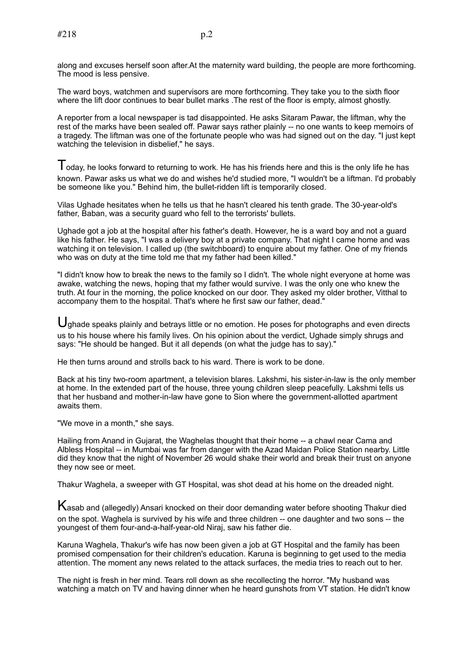along and excuses herself soon after.At the maternity ward building, the people are more forthcoming. The mood is less pensive.

The ward boys, watchmen and supervisors are more forthcoming. They take you to the sixth floor where the lift door continues to bear bullet marks .The rest of the floor is empty, almost ghostly.

A reporter from a local newspaper is tad disappointed. He asks Sitaram Pawar, the liftman, why the rest of the marks have been sealed off. Pawar says rather plainly -- no one wants to keep memoirs of a tragedy. The liftman was one of the fortunate people who was had signed out on the day. "I just kept watching the television in disbelief," he says.

 $\mathsf I$  oday, he looks forward to returning to work. He has his friends here and this is the only life he has known. Pawar asks us what we do and wishes he'd studied more, "I wouldn't be a liftman. I'd probably be someone like you." Behind him, the bullet-ridden lift is temporarily closed.

Vilas Ughade hesitates when he tells us that he hasn't cleared his tenth grade. The 30-year-old's father, Baban, was a security guard who fell to the terrorists' bullets.

Ughade got a job at the hospital after his father's death. However, he is a ward boy and not a guard like his father. He says, "I was a delivery boy at a private company. That night I came home and was watching it on television. I called up (the switchboard) to enquire about my father. One of my friends who was on duty at the time told me that my father had been killed."

"I didn't know how to break the news to the family so I didn't. The whole night everyone at home was awake, watching the news, hoping that my father would survive. I was the only one who knew the truth. At four in the morning, the police knocked on our door. They asked my older brother, Vitthal to accompany them to the hospital. That's where he first saw our father, dead."

U ahade speaks plainly and betrays little or no emotion. He poses for photographs and even directs us to his house where his family lives. On his opinion about the verdict, Ughade simply shrugs and says: "He should be hanged. But it all depends (on what the judge has to say)."

He then turns around and strolls back to his ward. There is work to be done.

Back at his tiny two-room apartment, a television blares. Lakshmi, his sister-in-law is the only member at home. In the extended part of the house, three young children sleep peacefully. Lakshmi tells us that her husband and mother-in-law have gone to Sion where the government-allotted apartment awaits them.

"We move in a month," she says.

Hailing from Anand in Gujarat, the Waghelas thought that their home -- a chawl near Cama and Albless Hospital -- in Mumbai was far from danger with the Azad Maidan Police Station nearby. Little did they know that the night of November 26 would shake their world and break their trust on anyone they now see or meet.

Thakur Waghela, a sweeper with GT Hospital, was shot dead at his home on the dreaded night.

Kasab and (allegedly) Ansari knocked on their door demanding water before shooting Thakur died on the spot. Waghela is survived by his wife and three children -- one daughter and two sons -- the youngest of them four-and-a-half-year-old Niraj, saw his father die.

Karuna Waghela, Thakur's wife has now been given a job at GT Hospital and the family has been promised compensation for their children's education. Karuna is beginning to get used to the media attention. The moment any news related to the attack surfaces, the media tries to reach out to her.

The night is fresh in her mind. Tears roll down as she recollecting the horror. "My husband was watching a match on TV and having dinner when he heard gunshots from VT station. He didn't know